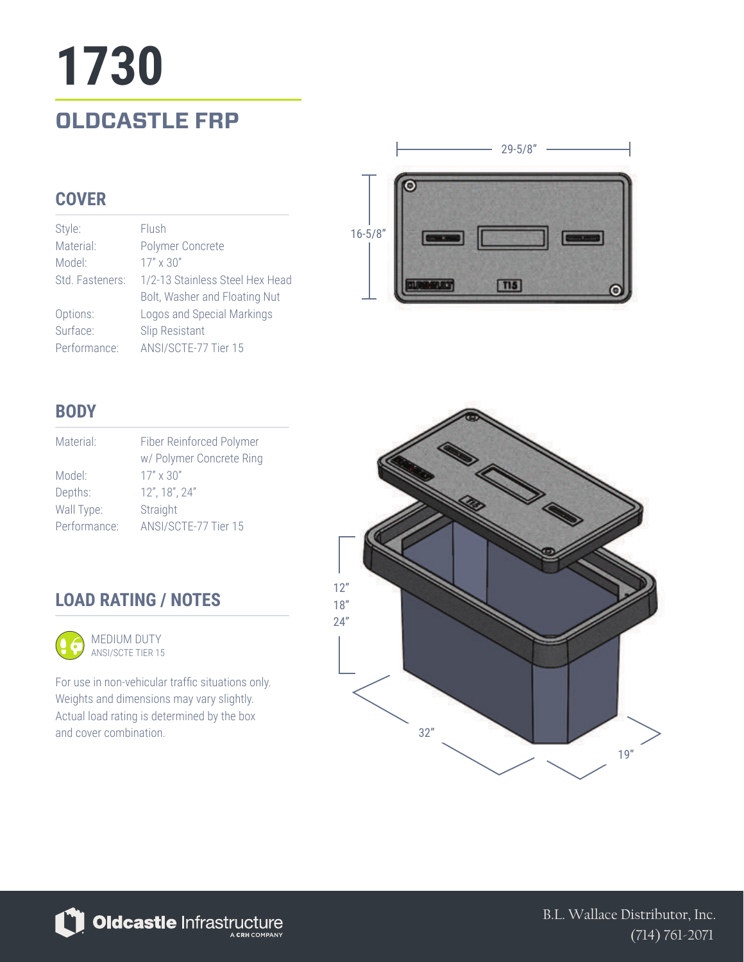# **OLDCASTLE FRP 1730**

### **COVER**

| Style:          | Flush                           |
|-----------------|---------------------------------|
| Material:       | Polymer Concrete                |
| Model:          | $17'' \times 30''$              |
| Std. Fasteners: | 1/2-13 Stainless Steel Hex Head |
|                 | Bolt, Washer and Floating Nut   |
| Options:        | Logos and Special Markings      |
| Surface:        | <b>Slip Resistant</b>           |
| Performance:    | ANSI/SCTE-77 Tier 15            |



### **BODY**

| Material:    | Fiber Reinforced Polymer |
|--------------|--------------------------|
|              | w/ Polymer Concrete Ring |
| Model:       | $17'' \times 30''$       |
| Depths:      | 12", 18", 24"            |
| Wall Type:   | Straight                 |
| Performance: | ANSI/SCTE-77 Tier 15     |

## **LOAD RATING / NOTES**



For use in non-vehicular traffic situations only. Weights and dimensions may vary slightly. Actual load rating is determined by the box and cover combination.



Oldcastle Infrastructure

B.L. Wallace Distributor, Inc. (714) 761-2071